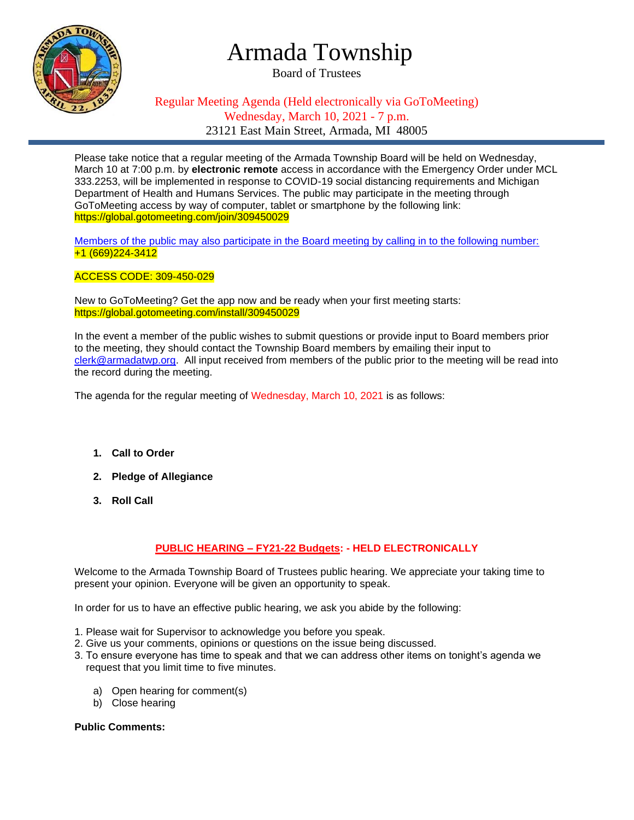

## Armada Township

Board of Trustees

### Regular Meeting Agenda (Held electronically via GoToMeeting) Wednesday, March 10, 2021 - 7 p.m. 23121 East Main Street, Armada, MI 48005

Please take notice that a regular meeting of the Armada Township Board will be held on Wednesday, March 10 at 7:00 p.m. by **electronic remote** access in accordance with the Emergency Order under MCL 333.2253, will be implemented in response to COVID-19 social distancing requirements and Michigan Department of Health and Humans Services. The public may participate in the meeting through GoToMeeting access by way of computer, tablet or smartphone by the following link: https://global.gotomeeting.com/join/309450029

Members of the public may also participate in the Board meeting by calling in to the following number: +1 (669)224-3412

ACCESS CODE: 309-450-029

New to GoToMeeting? Get the app now and be ready when your first meeting starts: https://global.gotomeeting.com/install/309450029

In the event a member of the public wishes to submit questions or provide input to Board members prior to the meeting, they should contact the Township Board members by emailing their input to [clerk@armadatwp.org.](mailto:clerk@armadatwp.org) All input received from members of the public prior to the meeting will be read into the record during the meeting.

The agenda for the regular meeting of Wednesday, March 10, 2021 is as follows:

- **1. Call to Order**
- **2. Pledge of Allegiance**
- **3. Roll Call**

#### **PUBLIC HEARING – FY21-22 Budgets: - HELD ELECTRONICALLY**

Welcome to the Armada Township Board of Trustees public hearing. We appreciate your taking time to present your opinion. Everyone will be given an opportunity to speak.

In order for us to have an effective public hearing, we ask you abide by the following:

- 1. Please wait for Supervisor to acknowledge you before you speak.
- 2. Give us your comments, opinions or questions on the issue being discussed.
- 3. To ensure everyone has time to speak and that we can address other items on tonight's agenda we request that you limit time to five minutes.
	- a) Open hearing for comment(s)
	- b) Close hearing

#### **Public Comments:**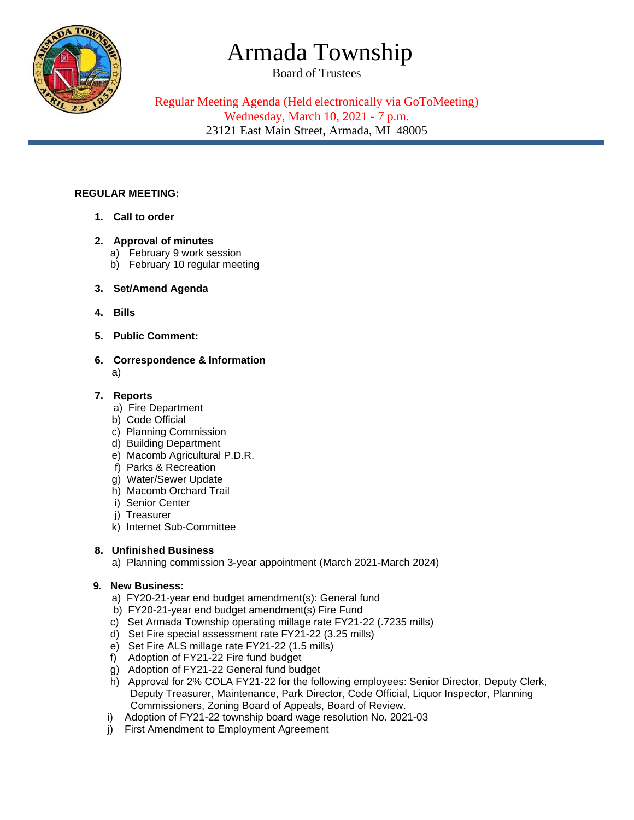# Armada Township

Board of Trustees



Regular Meeting Agenda (Held electronically via GoToMeeting) Wednesday, March 10, 2021 - 7 p.m. 23121 East Main Street, Armada, MI 48005

#### **REGULAR MEETING:**

**1. Call to order**

#### **2. Approval of minutes**

- a) February 9 work session
- b) February 10 regular meeting
- **3. Set/Amend Agenda**
- **4. Bills**
- **5. Public Comment:**
- **6. Correspondence & Information**  a)
- **7. Reports** 
	- a) Fire Department
	- b) Code Official
	- c) Planning Commission
	- d) Building Department
	- e) Macomb Agricultural P.D.R.
	- f) Parks & Recreation
	- g) Water/Sewer Update
	- h) Macomb Orchard Trail
	- i) Senior Center
	- j) Treasurer
	- k) Internet Sub-Committee

#### **8. Unfinished Business**

a) Planning commission 3-year appointment (March 2021-March 2024)

#### **9. New Business:**

- a) FY20-21-year end budget amendment(s): General fund
- b) FY20-21-year end budget amendment(s) Fire Fund
- c) Set Armada Township operating millage rate FY21-22 (.7235 mills)
- d) Set Fire special assessment rate FY21-22 (3.25 mills)
- e) Set Fire ALS millage rate FY21-22 (1.5 mills)
- f) Adoption of FY21-22 Fire fund budget
- g) Adoption of FY21-22 General fund budget
- h) Approval for 2% COLA FY21-22 for the following employees: Senior Director, Deputy Clerk, Deputy Treasurer, Maintenance, Park Director, Code Official, Liquor Inspector, Planning Commissioners, Zoning Board of Appeals, Board of Review.
- i) Adoption of FY21-22 township board wage resolution No. 2021-03
- j) First Amendment to Employment Agreement